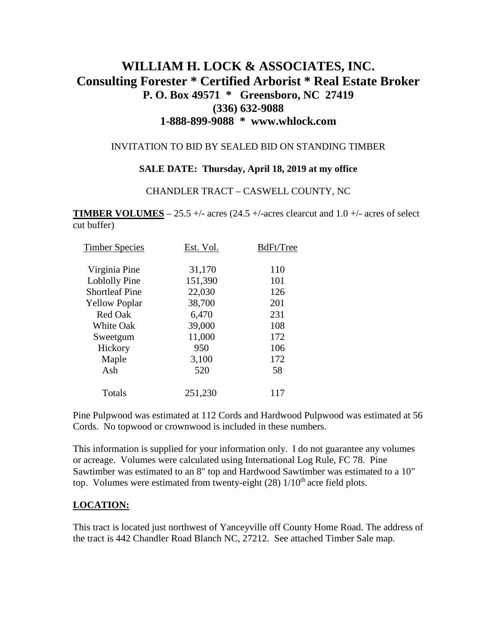# **WILLIAM H. LOCK & ASSOCIATES, INC. Consulting Forester \* Certified Arborist \* Real Estate Broker P. O. Box 49571 \* Greensboro, NC 27419 (336) 632-9088 1-888-899-9088 \* www.whlock.com**

#### INVITATION TO BID BY SEALED BID ON STANDING TIMBER

#### **SALE DATE: Thursday, April 18, 2019 at my office**

#### CHANDLER TRACT – CASWELL COUNTY, NC

**TIMBER VOLUMES** – 25.5 +/- acres (24.5 +/-acres clearcut and 1.0 +/- acres of select cut buffer)

| <b>Timber Species</b> | Est. Vol. | BdFt/Tree |
|-----------------------|-----------|-----------|
| Virginia Pine         | 31,170    | 110       |
| Loblolly Pine         | 151,390   | 101       |
| <b>Shortleaf Pine</b> | 22,030    | 126       |
| <b>Yellow Poplar</b>  | 38,700    | 201       |
| <b>Red Oak</b>        | 6,470     | 231       |
| <b>White Oak</b>      | 39,000    | 108       |
| Sweetgum              | 11,000    | 172       |
| Hickory               | 950       | 106       |
| Maple                 | 3,100     | 172       |
| Ash                   | 520       | 58        |
| Totals                | 251,230   | 117       |

Pine Pulpwood was estimated at 112 Cords and Hardwood Pulpwood was estimated at 56 Cords. No topwood or crownwood is included in these numbers.

This information is supplied for your information only. I do not guarantee any volumes or acreage. Volumes were calculated using International Log Rule, FC 78. Pine Sawtimber was estimated to an 8" top and Hardwood Sawtimber was estimated to a 10" top. Volumes were estimated from twenty-eight  $(28)$  1/10<sup>th</sup> acre field plots.

### **LOCATION:**

This tract is located just northwest of Yanceyville off County Home Road. The address of the tract is 442 Chandler Road Blanch NC, 27212. See attached Timber Sale map.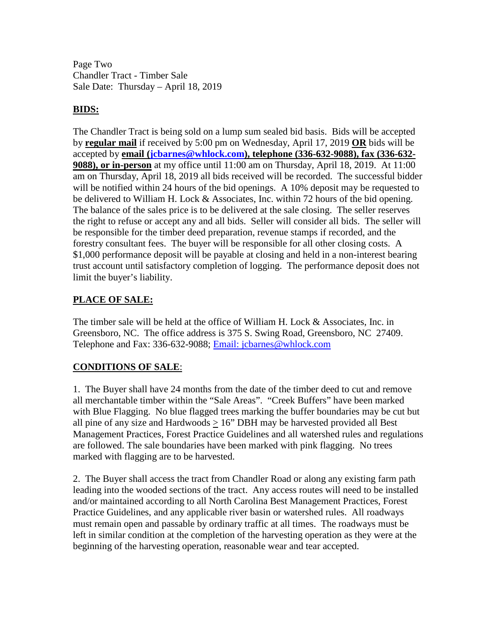Page Two Chandler Tract - Timber Sale Sale Date: Thursday – April 18, 2019

### **BIDS:**

The Chandler Tract is being sold on a lump sum sealed bid basis. Bids will be accepted by **regular mail** if received by 5:00 pm on Wednesday, April 17, 2019 **OR** bids will be accepted by **email [\(jcbarnes@whlock.com\)](mailto:jcbarnes@whlock.com), telephone (336-632-9088), fax (336-632- 9088), or in-person** at my office until 11:00 am on Thursday, April 18, 2019. At 11:00 am on Thursday, April 18, 2019 all bids received will be recorded. The successful bidder will be notified within 24 hours of the bid openings. A 10% deposit may be requested to be delivered to William H. Lock & Associates, Inc. within 72 hours of the bid opening. The balance of the sales price is to be delivered at the sale closing. The seller reserves the right to refuse or accept any and all bids. Seller will consider all bids. The seller will be responsible for the timber deed preparation, revenue stamps if recorded, and the forestry consultant fees. The buyer will be responsible for all other closing costs. A \$1,000 performance deposit will be payable at closing and held in a non-interest bearing trust account until satisfactory completion of logging. The performance deposit does not limit the buyer's liability.

## **PLACE OF SALE:**

The timber sale will be held at the office of William H. Lock & Associates, Inc. in Greensboro, NC. The office address is 375 S. Swing Road, Greensboro, NC 27409. Telephone and Fax: 336-632-9088; [Email: jcbarnes@whlock.com](mailto:Email:%20jcbarnes@whlock.com) 

### **CONDITIONS OF SALE**:

1. The Buyer shall have 24 months from the date of the timber deed to cut and remove all merchantable timber within the "Sale Areas". "Creek Buffers" have been marked with Blue Flagging. No blue flagged trees marking the buffer boundaries may be cut but all pine of any size and Hardwoods  $> 16$ " DBH may be harvested provided all Best Management Practices, Forest Practice Guidelines and all watershed rules and regulations are followed. The sale boundaries have been marked with pink flagging. No trees marked with flagging are to be harvested.

2. The Buyer shall access the tract from Chandler Road or along any existing farm path leading into the wooded sections of the tract. Any access routes will need to be installed and/or maintained according to all North Carolina Best Management Practices, Forest Practice Guidelines, and any applicable river basin or watershed rules. All roadways must remain open and passable by ordinary traffic at all times. The roadways must be left in similar condition at the completion of the harvesting operation as they were at the beginning of the harvesting operation, reasonable wear and tear accepted.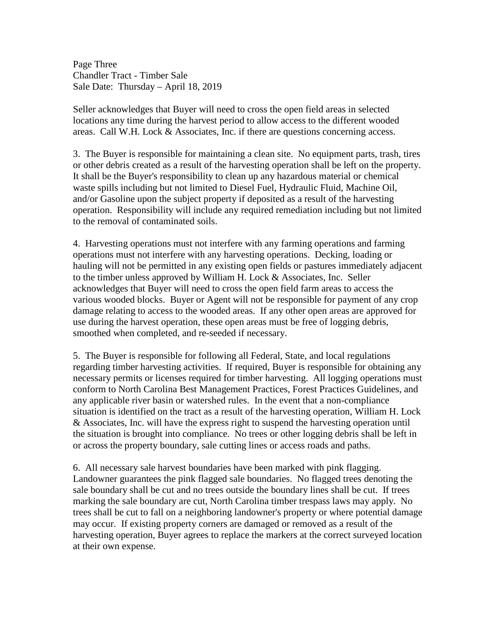Page Three Chandler Tract - Timber Sale Sale Date: Thursday – April 18, 2019

Seller acknowledges that Buyer will need to cross the open field areas in selected locations any time during the harvest period to allow access to the different wooded areas. Call W.H. Lock & Associates, Inc. if there are questions concerning access.

3. The Buyer is responsible for maintaining a clean site. No equipment parts, trash, tires or other debris created as a result of the harvesting operation shall be left on the property. It shall be the Buyer's responsibility to clean up any hazardous material or chemical waste spills including but not limited to Diesel Fuel, Hydraulic Fluid, Machine Oil, and/or Gasoline upon the subject property if deposited as a result of the harvesting operation. Responsibility will include any required remediation including but not limited to the removal of contaminated soils.

4. Harvesting operations must not interfere with any farming operations and farming operations must not interfere with any harvesting operations. Decking, loading or hauling will not be permitted in any existing open fields or pastures immediately adjacent to the timber unless approved by William H. Lock & Associates, Inc. Seller acknowledges that Buyer will need to cross the open field farm areas to access the various wooded blocks. Buyer or Agent will not be responsible for payment of any crop damage relating to access to the wooded areas. If any other open areas are approved for use during the harvest operation, these open areas must be free of logging debris, smoothed when completed, and re-seeded if necessary.

5. The Buyer is responsible for following all Federal, State, and local regulations regarding timber harvesting activities. If required, Buyer is responsible for obtaining any necessary permits or licenses required for timber harvesting. All logging operations must conform to North Carolina Best Management Practices, Forest Practices Guidelines, and any applicable river basin or watershed rules. In the event that a non-compliance situation is identified on the tract as a result of the harvesting operation, William H. Lock & Associates, Inc. will have the express right to suspend the harvesting operation until the situation is brought into compliance. No trees or other logging debris shall be left in or across the property boundary, sale cutting lines or access roads and paths.

6. All necessary sale harvest boundaries have been marked with pink flagging. Landowner guarantees the pink flagged sale boundaries. No flagged trees denoting the sale boundary shall be cut and no trees outside the boundary lines shall be cut. If trees marking the sale boundary are cut, North Carolina timber trespass laws may apply. No trees shall be cut to fall on a neighboring landowner's property or where potential damage may occur. If existing property corners are damaged or removed as a result of the harvesting operation, Buyer agrees to replace the markers at the correct surveyed location at their own expense.